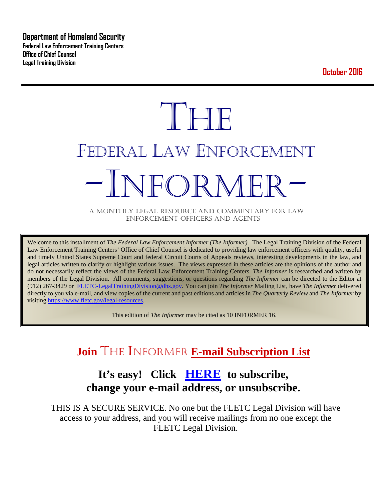**Department of Homeland Security Federal Law Enforcement Training Centers Office of Chief Counsel Legal Training Division** 

**October 2016**

# **THE** FEDERAL LAW ENFORCEMENT -INFORMER- A MONTHLY LEGAL RESOURCE AND COMMENTARY FOR LAW

ENFORCEMENT OFFICERS AND AGENTS

Welcome to this installment of *The Federal Law Enforcement Informer (The Informer).* The Legal Training Division of the Federal Law Enforcement Training Centers' Office of Chief Counsel is dedicated to providing law enforcement officers with quality, useful and timely United States Supreme Court and federal Circuit Courts of Appeals reviews, interesting developments in the law, and legal articles written to clarify or highlight various issues. The views expressed in these articles are the opinions of the author and do not necessarily reflect the views of the Federal Law Enforcement Training Centers. *The Informer* is researched and written by members of the Legal Division. All comments, suggestions, or questions regarding *The Informer* can be directed to the Editor at (912) 267-3429 or [FLETC-LegalTrainingDivision@dhs.gov.](mailto:FLETC-LegalTrainingDivision@dhs.gov) You can join *The Informer* Mailing List, have *The Informer* delivered directly to you via e-mail, and view copies of the current and past editions and articles in *The Quarterly Review* and *The Informer* by visiting [https://www.fletc.gov/legal-resources.](https://www.fletc.gov/legal-resources) 

This edition of *The Informer* may be cited as 10 INFORMER 16.

# **Join** THE INFORMER **E-mail Subscription List**

# **It's easy! Click [HERE](http://peach.ease.lsoft.com/scripts/wa.exe?SUBED1=fletclgd&A=1) to subscribe, change your e-mail address, or unsubscribe.**

THIS IS A SECURE SERVICE. No one but the FLETC Legal Division will have access to your address, and you will receive mailings from no one except the FLETC Legal Division.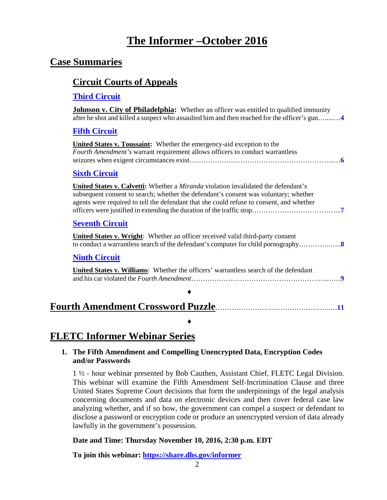# **The Informer –October 2016**

# **Case Summaries**

### **[Circuit Courts of Appeals](#page-3-0)**

### **[Third Circuit](#page-3-1)**

| ma va var<br><b>Johnson v. City of Philadelphia:</b> Whether an officer was entitled to qualified immunity<br>after he shot and killed a suspect who assaulted him and then reached for the officer's gun4                                                                    |
|-------------------------------------------------------------------------------------------------------------------------------------------------------------------------------------------------------------------------------------------------------------------------------|
| <b>Fifth Circuit</b>                                                                                                                                                                                                                                                          |
| <b>United States v. Toussaint:</b> Whether the emergency-aid exception to the<br>Fourth Amendment's warrant requirement allows officers to conduct warrantless                                                                                                                |
| <b>Sixth Circuit</b>                                                                                                                                                                                                                                                          |
| United States v. Calvetti: Whether a <i>Miranda</i> violation invalidated the defendant's<br>subsequent consent to search; whether the defendant's consent was voluntary; whether<br>agents were required to tell the defendant that she could refuse to consent, and whether |
| <b>Seventh Circuit</b>                                                                                                                                                                                                                                                        |
| <b>United States v. Wright:</b> Whether an officer received valid third-party consent                                                                                                                                                                                         |
| <b>Ninth Circuit</b>                                                                                                                                                                                                                                                          |
| United States v. Williams: Whether the officers' warrantless search of the defendant                                                                                                                                                                                          |
|                                                                                                                                                                                                                                                                               |
|                                                                                                                                                                                                                                                                               |

# **FLETC Informer Webinar Series**

### **1. The Fifth Amendment and Compelling Unencrypted Data, Encryption Codes and/or Passwords**

♦

1 ½ - hour webinar presented by Bob Cauthen, Assistant Chief, FLETC Legal Division. This webinar will examine the Fifth Amendment Self-Incrimination Clause and three United States Supreme Court decisions that form the underpinnings of the legal analysis concerning documents and data on electronic devices and then cover federal case law analyzing whether, and if so how, the government can compel a suspect or defendant to disclose a password or encryption code or produce an unencrypted version of data already lawfully in the government's possession.

### **Date and Time: Thursday November 10, 2016, 2:30 p.m. EDT**

**To join this webinar:<https://share.dhs.gov/informer>**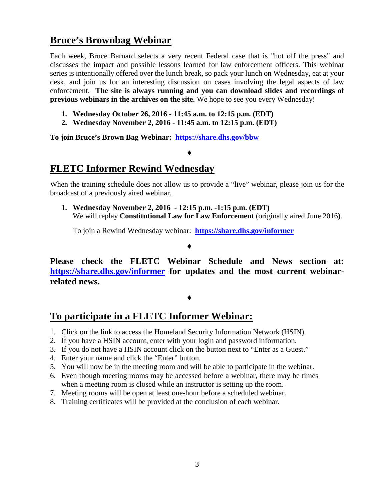# **Bruce's Brownbag Webinar**

Each week, Bruce Barnard selects a very recent Federal case that is "hot off the press" and discusses the impact and possible lessons learned for law enforcement officers. This webinar series is intentionally offered over the lunch break, so pack your lunch on Wednesday, eat at your desk, and join us for an interesting discussion on cases involving the legal aspects of law enforcement. **The site is always running and you can download slides and recordings of previous webinars in the archives on the site.** We hope to see you every Wednesday!

- **1. Wednesday October 26, 2016 - 11:45 a.m. to 12:15 p.m. (EDT)**
- **2. Wednesday November 2, 2016 - 11:45 a.m. to 12:15 p.m. (EDT)**

**To join Bruce's Brown Bag Webinar: <https://share.dhs.gov/bbw>**

### ♦

## **FLETC Informer Rewind Wednesday**

When the training schedule does not allow us to provide a "live" webinar, please join us for the broadcast of a previously aired webinar.

**1. Wednesday November 2, 2016 - 12:15 p.m. -1:15 p.m. (EDT)** We will replay **Constitutional Law for Law Enforcement** (originally aired June 2016).

To join a Rewind Wednesday webinar: **<https://share.dhs.gov/informer>**

♦

**Please check the FLETC Webinar Schedule and News section at: <https://share.dhs.gov/informer> for updates and the most current webinarrelated news.** 

### ♦

## **To participate in a FLETC Informer Webinar:**

- 1. Click on the link to access the Homeland Security Information Network (HSIN).
- 2. If you have a HSIN account, enter with your login and password information.
- 3. If you do not have a HSIN account click on the button next to "Enter as a Guest."
- 4. Enter your name and click the "Enter" button.
- 5. You will now be in the meeting room and will be able to participate in the webinar.
- 6. Even though meeting rooms may be accessed before a webinar, there may be times when a meeting room is closed while an instructor is setting up the room.
- 7. Meeting rooms will be open at least one-hour before a scheduled webinar.
- 8. Training certificates will be provided at the conclusion of each webinar.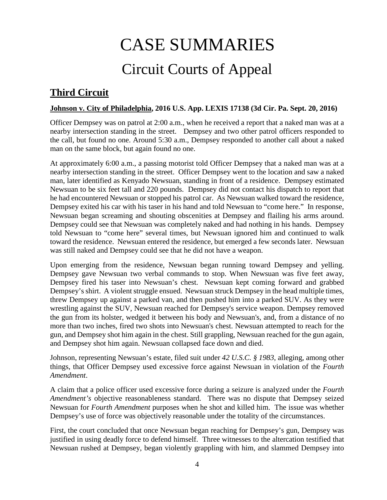# CASE SUMMARIES Circuit Courts of Appeal

# <span id="page-3-1"></span><span id="page-3-0"></span>**Third Circuit**

### <span id="page-3-2"></span>**Johnson v. City of Philadelphia, 2016 U.S. App. LEXIS 17138 (3d Cir. Pa. Sept. 20, 2016)**

Officer Dempsey was on patrol at 2:00 a.m., when he received a report that a naked man was at a nearby intersection standing in the street. Dempsey and two other patrol officers responded to the call, but found no one. Around 5:30 a.m., Dempsey responded to another call about a naked man on the same block, but again found no one.

At approximately 6:00 a.m., a passing motorist told Officer Dempsey that a naked man was at a nearby intersection standing in the street. Officer Dempsey went to the location and saw a naked man, later identified as Kenyado Newsuan, standing in front of a residence. Dempsey estimated Newsuan to be six feet tall and 220 pounds. Dempsey did not contact his dispatch to report that he had encountered Newsuan or stopped his patrol car. As Newsuan walked toward the residence, Dempsey exited his car with his taser in his hand and told Newsuan to "come here." In response, Newsuan began screaming and shouting obscenities at Dempsey and flailing his arms around. Dempsey could see that Newsuan was completely naked and had nothing in his hands. Dempsey told Newsuan to "come here" several times, but Newsuan ignored him and continued to walk toward the residence. Newsuan entered the residence, but emerged a few seconds later. Newsuan was still naked and Dempsey could see that he did not have a weapon.

Upon emerging from the residence, Newsuan began running toward Dempsey and yelling. Dempsey gave Newsuan two verbal commands to stop. When Newsuan was five feet away, Dempsey fired his taser into Newsuan's chest. Newsuan kept coming forward and grabbed Dempsey's shirt. A violent struggle ensued. Newsuan struck Dempsey in the head multiple times, threw Dempsey up against a parked van, and then pushed him into a parked SUV. As they were wrestling against the SUV, Newsuan reached for Dempsey's service weapon. Dempsey removed the gun from its holster, wedged it between his body and Newsuan's, and, from a distance of no more than two inches, fired two shots into Newsuan's chest. Newsuan attempted to reach for the gun, and Dempsey shot him again in the chest. Still grappling, Newsuan reached for the gun again, and Dempsey shot him again. Newsuan collapsed face down and died.

Johnson, representing Newsuan's estate, filed suit under *42 U.S.C. § 1983*, alleging, among other things, that Officer Dempsey used excessive force against Newsuan in violation of the *Fourth Amendment*.

A claim that a police officer used excessive force during a seizure is analyzed under the *Fourth Amendment's* objective reasonableness standard. There was no dispute that Dempsey seized Newsuan for *Fourth Amendment* purposes when he shot and killed him. The issue was whether Dempsey's use of force was objectively reasonable under the totality of the circumstances.

First, the court concluded that once Newsuan began reaching for Dempsey's gun, Dempsey was justified in using deadly force to defend himself. Three witnesses to the altercation testified that Newsuan rushed at Dempsey, began violently grappling with him, and slammed Dempsey into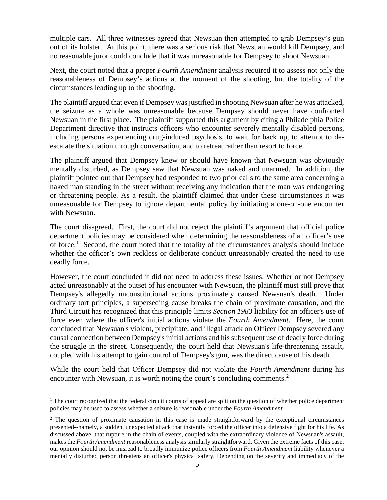multiple cars. All three witnesses agreed that Newsuan then attempted to grab Dempsey's gun out of its holster. At this point, there was a serious risk that Newsuan would kill Dempsey, and no reasonable juror could conclude that it was unreasonable for Dempsey to shoot Newsuan.

Next, the court noted that a proper *Fourth Amendment* analysis required it to assess not only the reasonableness of Dempsey's actions at the moment of the shooting, but the totality of the circumstances leading up to the shooting.

The plaintiff argued that even if Dempsey was justified in shooting Newsuan after he was attacked, the seizure as a whole was unreasonable because Dempsey should never have confronted Newsuan in the first place. The plaintiff supported this argument by citing a Philadelphia Police Department directive that instructs officers who encounter severely mentally disabled persons, including persons experiencing drug-induced psychosis, to wait for back up, to attempt to deescalate the situation through conversation, and to retreat rather than resort to force.

The plaintiff argued that Dempsey knew or should have known that Newsuan was obviously mentally disturbed, as Dempsey saw that Newsuan was naked and unarmed. In addition, the plaintiff pointed out that Dempsey had responded to two prior calls to the same area concerning a naked man standing in the street without receiving any indication that the man was endangering or threatening people. As a result, the plaintiff claimed that under these circumstances it was unreasonable for Dempsey to ignore departmental policy by initiating a one-on-one encounter with Newsuan.

The court disagreed. First, the court did not reject the plaintiff's argument that official police department policies may be considered when determining the reasonableness of an officer's use of force.<sup>[1](#page-4-0)</sup> Second, the court noted that the totality of the circumstances analysis should include whether the officer's own reckless or deliberate conduct unreasonably created the need to use deadly force.

However, the court concluded it did not need to address these issues. Whether or not Dempsey acted unreasonably at the outset of his encounter with Newsuan, the plaintiff must still prove that Dempsey's allegedly unconstitutional actions proximately caused Newsuan's death. Under ordinary tort principles, a superseding cause breaks the chain of proximate causation, and the Third Circuit has recognized that this principle limits *Section 1983* liability for an officer's use of force even where the officer's initial actions violate the *Fourth Amendment*. Here, the court concluded that Newsuan's violent, precipitate, and illegal attack on Officer Dempsey severed any causal connection between Dempsey's initial actions and his subsequent use of deadly force during the struggle in the street. Consequently, the court held that Newsuan's life-threatening assault, coupled with his attempt to gain control of Dempsey's gun, was the direct cause of his death.

While the court held that Officer Dempsey did not violate the *Fourth Amendment* during his encounter with Newsuan, it is worth noting the court's concluding comments.<sup>[2](#page-4-1)</sup>

<span id="page-4-0"></span> $<sup>1</sup>$  The court recognized that the federal circuit courts of appeal are split on the question of whether police department</sup> policies may be used to assess whether a seizure is reasonable under the *Fourth Amendment*.

<span id="page-4-1"></span><sup>&</sup>lt;sup>2</sup> The question of proximate causation in this case is made straightforward by the exceptional circumstances presented--namely, a sudden, unexpected attack that instantly forced the officer into a defensive fight for his life. As discussed above, that rupture in the chain of events, coupled with the extraordinary violence of Newsuan's assault, makes the *Fourth Amendment* reasonableness analysis similarly straightforward. Given the extreme facts of this case, our opinion should not be misread to broadly immunize police officers from *Fourth Amendment* liability whenever a mentally disturbed person threatens an officer's physical safety. Depending on the severity and immediacy of the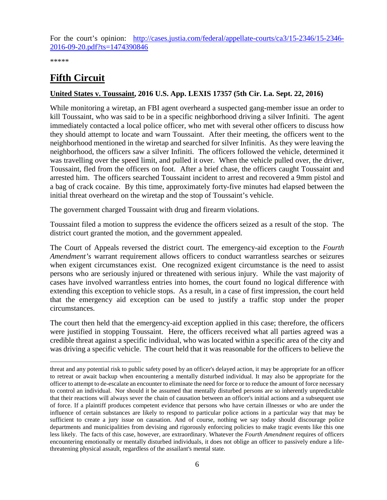For the court's opinion: [http://cases.justia.com/federal/appellate-courts/ca3/15-2346/15-2346-](http://cases.justia.com/federal/appellate-courts/ca3/15-2346/15-2346-2016-09-20.pdf?ts=1474390846) [2016-09-20.pdf?ts=1474390846](http://cases.justia.com/federal/appellate-courts/ca3/15-2346/15-2346-2016-09-20.pdf?ts=1474390846)

\*\*\*\*\*

# <span id="page-5-0"></span>**Fifth Circuit**

### <span id="page-5-1"></span>**United States v. Toussaint, 2016 U.S. App. LEXIS 17357 (5th Cir. La. Sept. 22, 2016)**

While monitoring a wiretap, an FBI agent overheard a suspected gang-member issue an order to kill Toussaint, who was said to be in a specific neighborhood driving a silver Infiniti. The agent immediately contacted a local police officer, who met with several other officers to discuss how they should attempt to locate and warn Toussaint. After their meeting, the officers went to the neighborhood mentioned in the wiretap and searched for silver Infinitis. As they were leaving the neighborhood, the officers saw a silver Infiniti. The officers followed the vehicle, determined it was travelling over the speed limit, and pulled it over. When the vehicle pulled over, the driver, Toussaint, fled from the officers on foot. After a brief chase, the officers caught Toussaint and arrested him. The officers searched Toussaint incident to arrest and recovered a 9mm pistol and a bag of crack cocaine. By this time, approximately forty-five minutes had elapsed between the initial threat overheard on the wiretap and the stop of Toussaint's vehicle.

The government charged Toussaint with drug and firearm violations.

Toussaint filed a motion to suppress the evidence the officers seized as a result of the stop. The district court granted the motion, and the government appealed.

The Court of Appeals reversed the district court. The emergency-aid exception to the *Fourth Amendment's* warrant requirement allows officers to conduct warrantless searches or seizures when exigent circumstances exist. One recognized exigent circumstance is the need to assist persons who are seriously injured or threatened with serious injury. While the vast majority of cases have involved warrantless entries into homes, the court found no logical difference with extending this exception to vehicle stops. As a result, in a case of first impression, the court held that the emergency aid exception can be used to justify a traffic stop under the proper circumstances.

The court then held that the emergency-aid exception applied in this case; therefore, the officers were justified in stopping Toussaint. Here, the officers received what all parties agreed was a credible threat against a specific individual, who was located within a specific area of the city and was driving a specific vehicle. The court held that it was reasonable for the officers to believe the

 $\overline{a}$ threat and any potential risk to public safety posed by an officer's delayed action, it may be appropriate for an officer to retreat or await backup when encountering a mentally disturbed individual. It may also be appropriate for the officer to attempt to de-escalate an encounter to eliminate the need for force or to reduce the amount of force necessary to control an individual. Nor should it be assumed that mentally disturbed persons are so inherently unpredictable that their reactions will always sever the chain of causation between an officer's initial actions and a subsequent use of force. If a plaintiff produces competent evidence that persons who have certain illnesses or who are under the influence of certain substances are likely to respond to particular police actions in a particular way that may be sufficient to create a jury issue on causation. And of course, nothing we say today should discourage police departments and municipalities from devising and rigorously enforcing policies to make tragic events like this one less likely. The facts of this case, however, are extraordinary. Whatever the *Fourth Amendment* requires of officers encountering emotionally or mentally disturbed individuals, it does not oblige an officer to passively endure a lifethreatening physical assault, regardless of the assailant's mental state.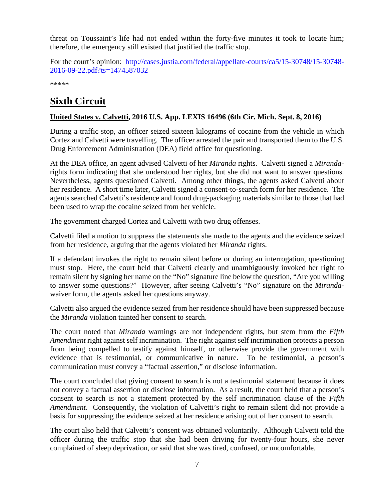threat on Toussaint's life had not ended within the forty-five minutes it took to locate him; therefore, the emergency still existed that justified the traffic stop.

For the court's opinion: [http://cases.justia.com/federal/appellate-courts/ca5/15-30748/15-30748-](http://cases.justia.com/federal/appellate-courts/ca5/15-30748/15-30748-2016-09-22.pdf?ts=1474587032) [2016-09-22.pdf?ts=1474587032](http://cases.justia.com/federal/appellate-courts/ca5/15-30748/15-30748-2016-09-22.pdf?ts=1474587032)

\*\*\*\*\*

# <span id="page-6-0"></span>**Sixth Circuit**

### <span id="page-6-1"></span>**United States v. Calvetti, 2016 U.S. App. LEXIS 16496 (6th Cir. Mich. Sept. 8, 2016)**

During a traffic stop, an officer seized sixteen kilograms of cocaine from the vehicle in which Cortez and Calvetti were travelling. The officer arrested the pair and transported them to the U.S. Drug Enforcement Administration (DEA) field office for questioning.

At the DEA office, an agent advised Calvetti of her *Miranda* rights. Calvetti signed a *Miranda*rights form indicating that she understood her rights, but she did not want to answer questions. Nevertheless, agents questioned Calvetti. Among other things, the agents asked Calvetti about her residence. A short time later, Calvetti signed a consent-to-search form for her residence. The agents searched Calvetti's residence and found drug-packaging materials similar to those that had been used to wrap the cocaine seized from her vehicle.

The government charged Cortez and Calvetti with two drug offenses.

Calvetti filed a motion to suppress the statements she made to the agents and the evidence seized from her residence, arguing that the agents violated her *Miranda* rights.

If a defendant invokes the right to remain silent before or during an interrogation, questioning must stop. Here, the court held that Calvetti clearly and unambiguously invoked her right to remain silent by signing her name on the "No" signature line below the question, "Are you willing to answer some questions?" However, after seeing Calvetti's "No" signature on the *Miranda*waiver form, the agents asked her questions anyway.

Calvetti also argued the evidence seized from her residence should have been suppressed because the *Miranda* violation tainted her consent to search.

The court noted that *Miranda* warnings are not independent rights, but stem from the *Fifth Amendment* right against self incrimination. The right against self incrimination protects a person from being compelled to testify against himself, or otherwise provide the government with evidence that is testimonial, or communicative in nature. To be testimonial, a person's communication must convey a "factual assertion," or disclose information.

The court concluded that giving consent to search is not a testimonial statement because it does not convey a factual assertion or disclose information. As a result, the court held that a person's consent to search is not a statement protected by the self incrimination clause of the *Fifth Amendment*. Consequently, the violation of Calvetti's right to remain silent did not provide a basis for suppressing the evidence seized at her residence arising out of her consent to search.

The court also held that Calvetti's consent was obtained voluntarily. Although Calvetti told the officer during the traffic stop that she had been driving for twenty-four hours, she never complained of sleep deprivation, or said that she was tired, confused, or uncomfortable.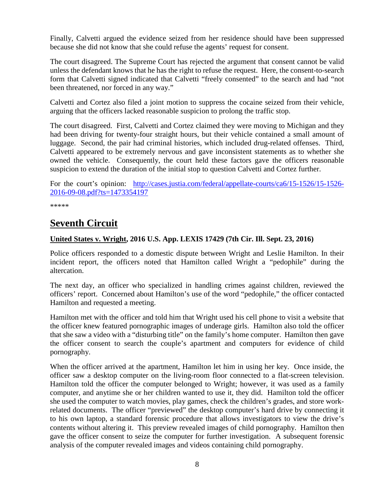Finally, Calvetti argued the evidence seized from her residence should have been suppressed because she did not know that she could refuse the agents' request for consent.

The court disagreed. The Supreme Court has rejected the argument that consent cannot be valid unless the defendant knows that he has the right to refuse the request. Here, the consent-to-search form that Calvetti signed indicated that Calvetti "freely consented" to the search and had "not been threatened, nor forced in any way."

Calvetti and Cortez also filed a joint motion to suppress the cocaine seized from their vehicle, arguing that the officers lacked reasonable suspicion to prolong the traffic stop.

The court disagreed. First, Calvetti and Cortez claimed they were moving to Michigan and they had been driving for twenty-four straight hours, but their vehicle contained a small amount of luggage. Second, the pair had criminal histories, which included drug-related offenses. Third, Calvetti appeared to be extremely nervous and gave inconsistent statements as to whether she owned the vehicle. Consequently, the court held these factors gave the officers reasonable suspicion to extend the duration of the initial stop to question Calvetti and Cortez further.

For the court's opinion: [http://cases.justia.com/federal/appellate-courts/ca6/15-1526/15-1526-](http://cases.justia.com/federal/appellate-courts/ca6/15-1526/15-1526-2016-09-08.pdf?ts=1473354197) [2016-09-08.pdf?ts=1473354197](http://cases.justia.com/federal/appellate-courts/ca6/15-1526/15-1526-2016-09-08.pdf?ts=1473354197)

\*\*\*\*\*

# <span id="page-7-0"></span>**Seventh Circuit**

### <span id="page-7-1"></span>**United States v. Wright, 2016 U.S. App. LEXIS 17429 (7th Cir. Ill. Sept. 23, 2016)**

Police officers responded to a domestic dispute between Wright and Leslie Hamilton. In their incident report, the officers noted that Hamilton called Wright a "pedophile" during the altercation.

The next day, an officer who specialized in handling crimes against children, reviewed the officers' report. Concerned about Hamilton's use of the word "pedophile," the officer contacted Hamilton and requested a meeting.

Hamilton met with the officer and told him that Wright used his cell phone to visit a website that the officer knew featured pornographic images of underage girls. Hamilton also told the officer that she saw a video with a "disturbing title" on the family's home computer. Hamilton then gave the officer consent to search the couple's apartment and computers for evidence of child pornography.

When the officer arrived at the apartment, Hamilton let him in using her key. Once inside, the officer saw a desktop computer on the living-room floor connected to a flat-screen television. Hamilton told the officer the computer belonged to Wright; however, it was used as a family computer, and anytime she or her children wanted to use it, they did. Hamilton told the officer she used the computer to watch movies, play games, check the children's grades, and store workrelated documents. The officer "previewed" the desktop computer's hard drive by connecting it to his own laptop, a standard forensic procedure that allows investigators to view the drive's contents without altering it. This preview revealed images of child pornography. Hamilton then gave the officer consent to seize the computer for further investigation. A subsequent forensic analysis of the computer revealed images and videos containing child pornography.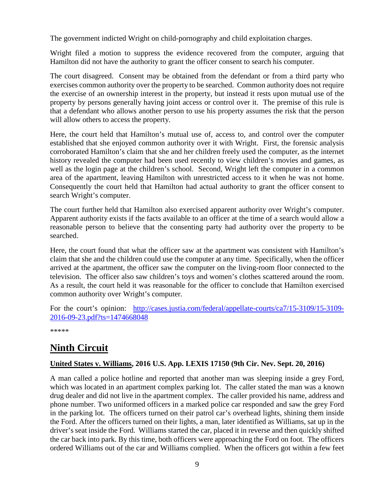The government indicted Wright on child-pornography and child exploitation charges.

Wright filed a motion to suppress the evidence recovered from the computer, arguing that Hamilton did not have the authority to grant the officer consent to search his computer.

The court disagreed. Consent may be obtained from the defendant or from a third party who exercises common authority over the property to be searched. Common authority does not require the exercise of an ownership interest in the property, but instead it rests upon mutual use of the property by persons generally having joint access or control over it. The premise of this rule is that a defendant who allows another person to use his property assumes the risk that the person will allow others to access the property.

Here, the court held that Hamilton's mutual use of, access to, and control over the computer established that she enjoyed common authority over it with Wright. First, the forensic analysis corroborated Hamilton's claim that she and her children freely used the computer, as the internet history revealed the computer had been used recently to view children's movies and games, as well as the login page at the children's school. Second, Wright left the computer in a common area of the apartment, leaving Hamilton with unrestricted access to it when he was not home. Consequently the court held that Hamilton had actual authority to grant the officer consent to search Wright's computer.

The court further held that Hamilton also exercised apparent authority over Wright's computer. Apparent authority exists if the facts available to an officer at the time of a search would allow a reasonable person to believe that the consenting party had authority over the property to be searched.

Here, the court found that what the officer saw at the apartment was consistent with Hamilton's claim that she and the children could use the computer at any time. Specifically, when the officer arrived at the apartment, the officer saw the computer on the living-room floor connected to the television. The officer also saw children's toys and women's clothes scattered around the room. As a result, the court held it was reasonable for the officer to conclude that Hamilton exercised common authority over Wright's computer.

For the court's opinion: [http://cases.justia.com/federal/appellate-courts/ca7/15-3109/15-3109-](http://cases.justia.com/federal/appellate-courts/ca7/15-3109/15-3109-2016-09-23.pdf?ts=1474668048) [2016-09-23.pdf?ts=1474668048](http://cases.justia.com/federal/appellate-courts/ca7/15-3109/15-3109-2016-09-23.pdf?ts=1474668048)

\*\*\*\*\*

# <span id="page-8-0"></span>**Ninth Circuit**

### <span id="page-8-1"></span>**United States v. Williams, 2016 U.S. App. LEXIS 17150 (9th Cir. Nev. Sept. 20, 2016)**

A man called a police hotline and reported that another man was sleeping inside a grey Ford, which was located in an apartment complex parking lot. The caller stated the man was a known drug dealer and did not live in the apartment complex. The caller provided his name, address and phone number. Two uniformed officers in a marked police car responded and saw the grey Ford in the parking lot. The officers turned on their patrol car's overhead lights, shining them inside the Ford. After the officers turned on their lights, a man, later identified as Williams, sat up in the driver's seat inside the Ford. Williams started the car, placed it in reverse and then quickly shifted the car back into park. By this time, both officers were approaching the Ford on foot. The officers ordered Williams out of the car and Williams complied. When the officers got within a few feet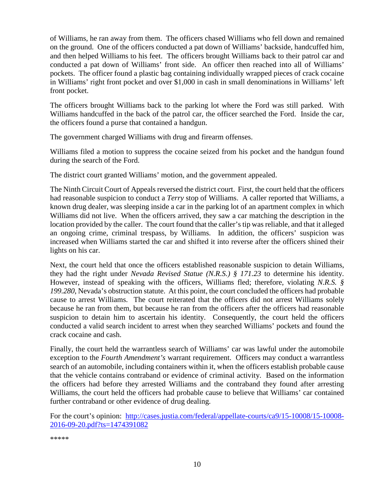of Williams, he ran away from them. The officers chased Williams who fell down and remained on the ground. One of the officers conducted a pat down of Williams' backside, handcuffed him, and then helped Williams to his feet. The officers brought Williams back to their patrol car and conducted a pat down of Williams' front side. An officer then reached into all of Williams' pockets. The officer found a plastic bag containing individually wrapped pieces of crack cocaine in Williams' right front pocket and over \$1,000 in cash in small denominations in Williams' left front pocket.

The officers brought Williams back to the parking lot where the Ford was still parked. With Williams handcuffed in the back of the patrol car, the officer searched the Ford. Inside the car, the officers found a purse that contained a handgun.

The government charged Williams with drug and firearm offenses.

Williams filed a motion to suppress the cocaine seized from his pocket and the handgun found during the search of the Ford.

The district court granted Williams' motion, and the government appealed.

The Ninth Circuit Court of Appeals reversed the district court. First, the court held that the officers had reasonable suspicion to conduct a *Terry* stop of Williams. A caller reported that Williams, a known drug dealer, was sleeping inside a car in the parking lot of an apartment complex in which Williams did not live. When the officers arrived, they saw a car matching the description in the location provided by the caller. The court found that the caller's tip was reliable, and that it alleged an ongoing crime, criminal trespass, by Williams. In addition, the officers' suspicion was increased when Williams started the car and shifted it into reverse after the officers shined their lights on his car.

Next, the court held that once the officers established reasonable suspicion to detain Williams, they had the right under *Nevada Revised Statue (N.R.S.) § 171.23* to determine his identity. However, instead of speaking with the officers, Williams fled; therefore, violating *N.R.S. § 199.280*, Nevada's obstruction statute. At this point, the court concluded the officers had probable cause to arrest Williams. The court reiterated that the officers did not arrest Williams solely because he ran from them, but because he ran from the officers after the officers had reasonable suspicion to detain him to ascertain his identity. Consequently, the court held the officers conducted a valid search incident to arrest when they searched Williams' pockets and found the crack cocaine and cash.

Finally, the court held the warrantless search of Williams' car was lawful under the automobile exception to the *Fourth Amendment's* warrant requirement. Officers may conduct a warrantless search of an automobile, including containers within it, when the officers establish probable cause that the vehicle contains contraband or evidence of criminal activity. Based on the information the officers had before they arrested Williams and the contraband they found after arresting Williams, the court held the officers had probable cause to believe that Williams' car contained further contraband or other evidence of drug dealing.

For the court's opinion: [http://cases.justia.com/federal/appellate-courts/ca9/15-10008/15-10008-](http://cases.justia.com/federal/appellate-courts/ca9/15-10008/15-10008-2016-09-20.pdf?ts=1474391082) [2016-09-20.pdf?ts=1474391082](http://cases.justia.com/federal/appellate-courts/ca9/15-10008/15-10008-2016-09-20.pdf?ts=1474391082)

\*\*\*\*\*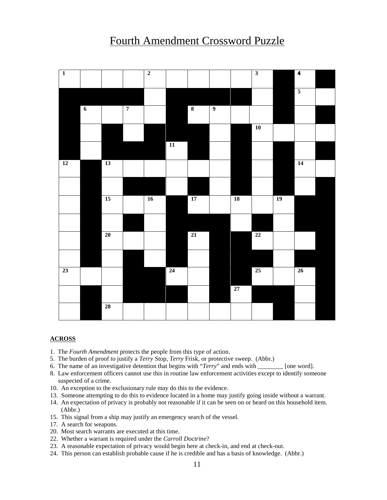# Fourth Amendment Crossword Puzzle

<span id="page-10-0"></span>

| $\overline{\phantom{a}}$ |
|--------------------------|
|                          |
|                          |
|                          |
| <b>14</b>                |
|                          |
| 19                       |
|                          |
|                          |
|                          |
| 26                       |
|                          |
|                          |
|                          |

#### **ACROSS**

- 1. The *Fourth Amendment* protects the people from this type of action.
- 5. The burden of proof to justify a *Terry* Stop, *Terry* Frisk, or protective sweep. (Abbr.)
- 6. The name of an investigative detention that begins with "*Terry*" and ends with \_\_\_\_\_\_\_\_ [one word].
- 8. Law enforcement officers cannot use this in routine law enforcement activities except to identify someone suspected of a crime.
- 10. An exception to the exclusionary rule may do this to the evidence.
- 13. Someone attempting to do this to evidence located in a home may justify going inside without a warrant.
- 14. An expectation of privacy is probably not reasonable if it can be seen on or heard on this household item. (Abbr.)
- 15. This signal from a ship may justify an emergency search of the vessel.
- 17. A search for weapons.
- 20. Most search warrants are executed at this time.
- 22. Whether a warrant is required under the *Carroll Doctrine*?
- 23. A reasonable expectation of privacy would begin here at check-in, and end at check-out.
- 24. This person can establish probable cause if he is credible and has a basis of knowledge. (Abbr.)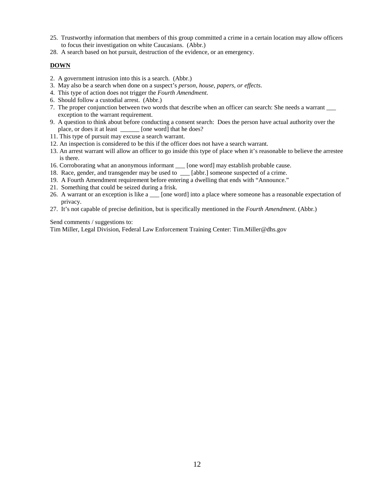- 25. Trustworthy information that members of this group committed a crime in a certain location may allow officers to focus their investigation on white Caucasians. (Abbr.)
- 28. A search based on hot pursuit, destruction of the evidence, or an emergency.

### **DOWN**

- 2. A government intrusion into this is a search. (Abbr.)
- 3. May also be a search when done on a suspect's *person, house, papers, or effects*.
- 4. This type of action does not trigger the *Fourth Amendment*.
- 6. Should follow a custodial arrest. (Abbr.)
- 7. The proper conjunction between two words that describe when an officer can search: She needs a warrant \_\_\_ exception to the warrant requirement.
- 9. A question to think about before conducting a consent search: Does the person have actual authority over the place, or does it at least *Delay* [one word] that he does?
- 11. This type of pursuit may excuse a search warrant.
- 12. An inspection is considered to be this if the officer does not have a search warrant.
- 13. An arrest warrant will allow an officer to go inside this type of place when it's reasonable to believe the arrestee is there.
- 16. Corroborating what an anonymous informant \_\_\_ [one word] may establish probable cause.
- 18. Race, gender, and transgender may be used to \_\_\_ [abbr.] someone suspected of a crime.
- 19. A Fourth Amendment requirement before entering a dwelling that ends with "Announce."
- 21. Something that could be seized during a frisk.
- 26. A warrant or an exception is like a \_\_\_ [one word] into a place where someone has a reasonable expectation of privacy.
- 27. It's not capable of precise definition, but is specifically mentioned in the *Fourth Amendment*. (Abbr.)

Send comments / suggestions to:

Tim Miller, Legal Division, Federal Law Enforcement Training Center: Tim.Miller@dhs.gov